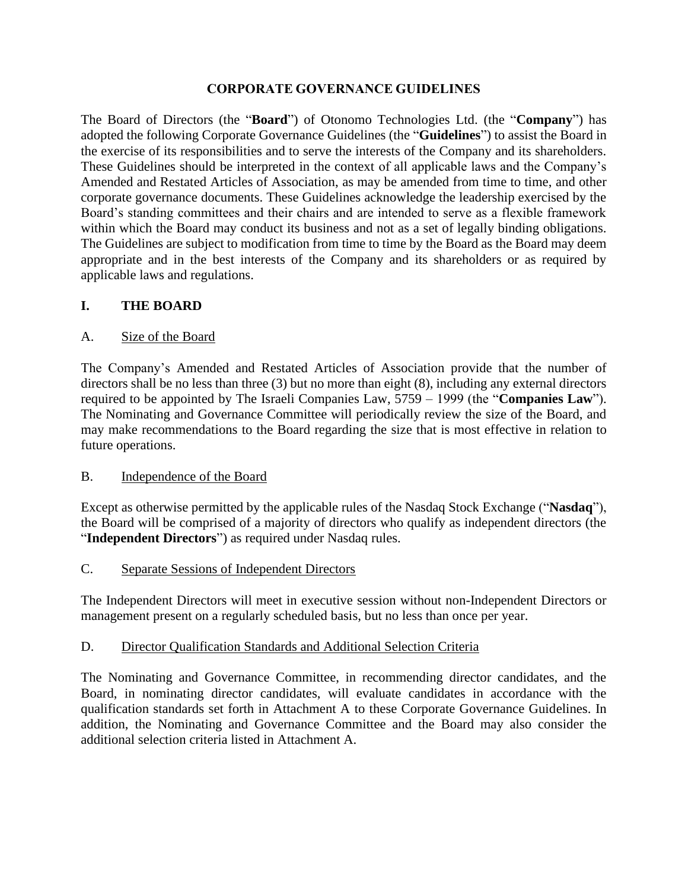#### **CORPORATE GOVERNANCE GUIDELINES**

The Board of Directors (the "**Board**") of Otonomo Technologies Ltd. (the "**Company**") has adopted the following Corporate Governance Guidelines (the "**Guidelines**") to assist the Board in the exercise of its responsibilities and to serve the interests of the Company and its shareholders. These Guidelines should be interpreted in the context of all applicable laws and the Company's Amended and Restated Articles of Association, as may be amended from time to time, and other corporate governance documents. These Guidelines acknowledge the leadership exercised by the Board's standing committees and their chairs and are intended to serve as a flexible framework within which the Board may conduct its business and not as a set of legally binding obligations. The Guidelines are subject to modification from time to time by the Board as the Board may deem appropriate and in the best interests of the Company and its shareholders or as required by applicable laws and regulations.

## **I. THE BOARD**

#### A. Size of the Board

The Company's Amended and Restated Articles of Association provide that the number of directors shall be no less than three (3) but no more than eight (8), including any external directors required to be appointed by The Israeli Companies Law, 5759 – 1999 (the "**Companies Law**"). The Nominating and Governance Committee will periodically review the size of the Board, and may make recommendations to the Board regarding the size that is most effective in relation to future operations.

#### B. Independence of the Board

Except as otherwise permitted by the applicable rules of the Nasdaq Stock Exchange ("**Nasdaq**"), the Board will be comprised of a majority of directors who qualify as independent directors (the "**Independent Directors**") as required under Nasdaq rules.

#### C. Separate Sessions of Independent Directors

The Independent Directors will meet in executive session without non-Independent Directors or management present on a regularly scheduled basis, but no less than once per year.

## D. Director Qualification Standards and Additional Selection Criteria

The Nominating and Governance Committee, in recommending director candidates, and the Board, in nominating director candidates, will evaluate candidates in accordance with the qualification standards set forth in Attachment A to these Corporate Governance Guidelines. In addition, the Nominating and Governance Committee and the Board may also consider the additional selection criteria listed in Attachment A.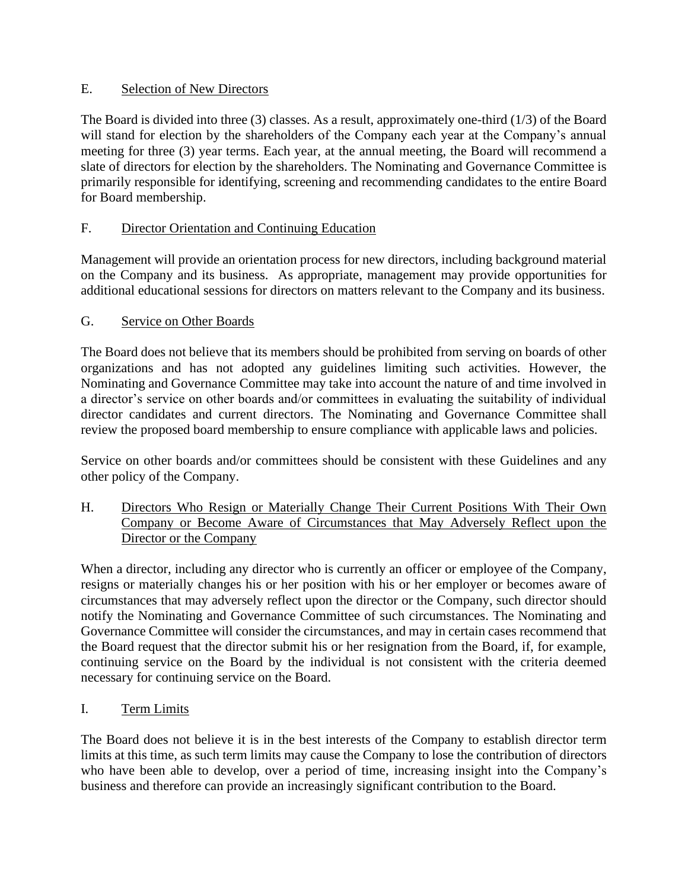# E. Selection of New Directors

The Board is divided into three (3) classes. As a result, approximately one-third (1/3) of the Board will stand for election by the shareholders of the Company each year at the Company's annual meeting for three (3) year terms. Each year, at the annual meeting, the Board will recommend a slate of directors for election by the shareholders. The Nominating and Governance Committee is primarily responsible for identifying, screening and recommending candidates to the entire Board for Board membership.

# F. Director Orientation and Continuing Education

Management will provide an orientation process for new directors, including background material on the Company and its business. As appropriate, management may provide opportunities for additional educational sessions for directors on matters relevant to the Company and its business.

# G. Service on Other Boards

The Board does not believe that its members should be prohibited from serving on boards of other organizations and has not adopted any guidelines limiting such activities. However, the Nominating and Governance Committee may take into account the nature of and time involved in a director's service on other boards and/or committees in evaluating the suitability of individual director candidates and current directors. The Nominating and Governance Committee shall review the proposed board membership to ensure compliance with applicable laws and policies.

Service on other boards and/or committees should be consistent with these Guidelines and any other policy of the Company.

H. Directors Who Resign or Materially Change Their Current Positions With Their Own Company or Become Aware of Circumstances that May Adversely Reflect upon the Director or the Company

When a director, including any director who is currently an officer or employee of the Company, resigns or materially changes his or her position with his or her employer or becomes aware of circumstances that may adversely reflect upon the director or the Company, such director should notify the Nominating and Governance Committee of such circumstances. The Nominating and Governance Committee will consider the circumstances, and may in certain cases recommend that the Board request that the director submit his or her resignation from the Board, if, for example, continuing service on the Board by the individual is not consistent with the criteria deemed necessary for continuing service on the Board.

I. Term Limits

The Board does not believe it is in the best interests of the Company to establish director term limits at this time, as such term limits may cause the Company to lose the contribution of directors who have been able to develop, over a period of time, increasing insight into the Company's business and therefore can provide an increasingly significant contribution to the Board.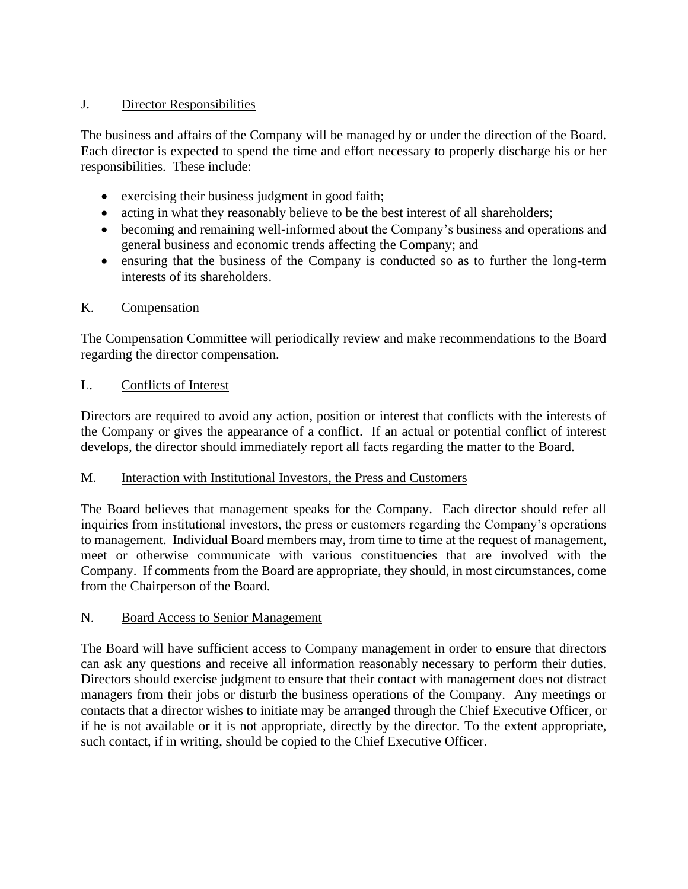## J. Director Responsibilities

The business and affairs of the Company will be managed by or under the direction of the Board. Each director is expected to spend the time and effort necessary to properly discharge his or her responsibilities. These include:

- exercising their business judgment in good faith;
- acting in what they reasonably believe to be the best interest of all shareholders;
- becoming and remaining well-informed about the Company's business and operations and general business and economic trends affecting the Company; and
- ensuring that the business of the Company is conducted so as to further the long-term interests of its shareholders.

## K. Compensation

The Compensation Committee will periodically review and make recommendations to the Board regarding the director compensation.

## L. Conflicts of Interest

Directors are required to avoid any action, position or interest that conflicts with the interests of the Company or gives the appearance of a conflict. If an actual or potential conflict of interest develops, the director should immediately report all facts regarding the matter to the Board.

## M. Interaction with Institutional Investors, the Press and Customers

The Board believes that management speaks for the Company. Each director should refer all inquiries from institutional investors, the press or customers regarding the Company's operations to management. Individual Board members may, from time to time at the request of management, meet or otherwise communicate with various constituencies that are involved with the Company. If comments from the Board are appropriate, they should, in most circumstances, come from the Chairperson of the Board.

## N. Board Access to Senior Management

The Board will have sufficient access to Company management in order to ensure that directors can ask any questions and receive all information reasonably necessary to perform their duties. Directors should exercise judgment to ensure that their contact with management does not distract managers from their jobs or disturb the business operations of the Company. Any meetings or contacts that a director wishes to initiate may be arranged through the Chief Executive Officer, or if he is not available or it is not appropriate, directly by the director. To the extent appropriate, such contact, if in writing, should be copied to the Chief Executive Officer.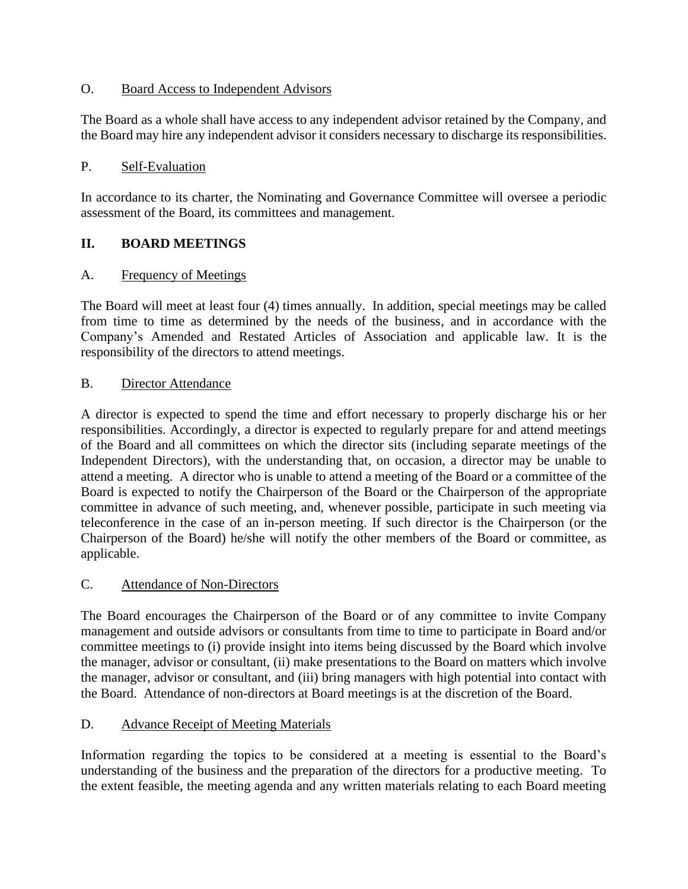## O. Board Access to Independent Advisors

The Board as a whole shall have access to any independent advisor retained by the Company, and the Board may hire any independent advisor it considers necessary to discharge its responsibilities.

#### P. Self-Evaluation

In accordance to its charter, the Nominating and Governance Committee will oversee a periodic assessment of the Board, its committees and management.

## **II. BOARD MEETINGS**

#### A. Frequency of Meetings

The Board will meet at least four (4) times annually. In addition, special meetings may be called from time to time as determined by the needs of the business, and in accordance with the Company's Amended and Restated Articles of Association and applicable law. It is the responsibility of the directors to attend meetings.

#### B. Director Attendance

A director is expected to spend the time and effort necessary to properly discharge his or her responsibilities. Accordingly, a director is expected to regularly prepare for and attend meetings of the Board and all committees on which the director sits (including separate meetings of the Independent Directors), with the understanding that, on occasion, a director may be unable to attend a meeting. A director who is unable to attend a meeting of the Board or a committee of the Board is expected to notify the Chairperson of the Board or the Chairperson of the appropriate committee in advance of such meeting, and, whenever possible, participate in such meeting via teleconference in the case of an in-person meeting. If such director is the Chairperson (or the Chairperson of the Board) he/she will notify the other members of the Board or committee, as applicable.

#### C. Attendance of Non-Directors

The Board encourages the Chairperson of the Board or of any committee to invite Company management and outside advisors or consultants from time to time to participate in Board and/or committee meetings to (i) provide insight into items being discussed by the Board which involve the manager, advisor or consultant, (ii) make presentations to the Board on matters which involve the manager, advisor or consultant, and (iii) bring managers with high potential into contact with the Board. Attendance of non-directors at Board meetings is at the discretion of the Board.

#### D. Advance Receipt of Meeting Materials

Information regarding the topics to be considered at a meeting is essential to the Board's understanding of the business and the preparation of the directors for a productive meeting. To the extent feasible, the meeting agenda and any written materials relating to each Board meeting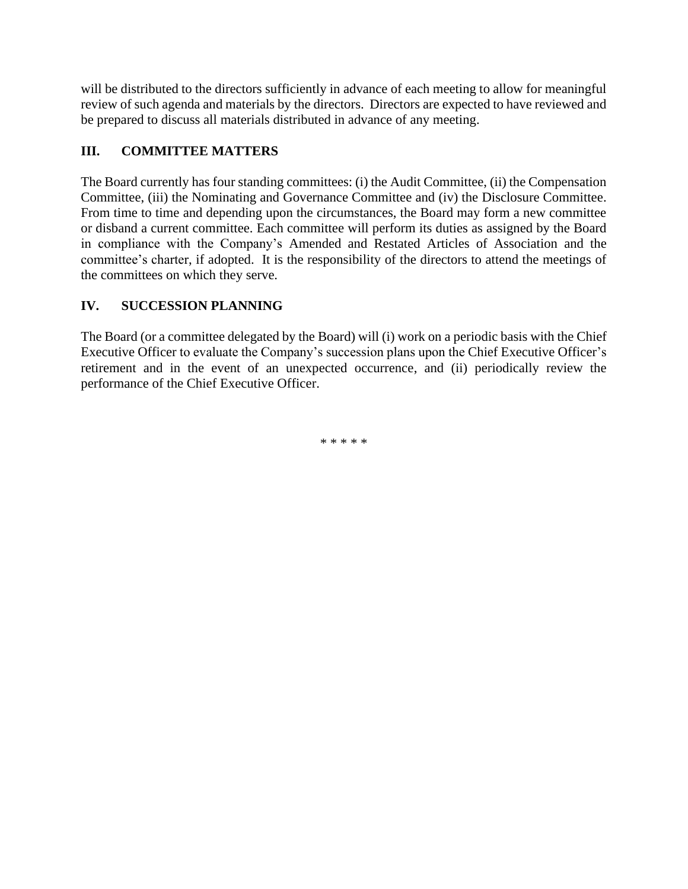will be distributed to the directors sufficiently in advance of each meeting to allow for meaningful review of such agenda and materials by the directors. Directors are expected to have reviewed and be prepared to discuss all materials distributed in advance of any meeting.

# **III. COMMITTEE MATTERS**

The Board currently has four standing committees: (i) the Audit Committee, (ii) the Compensation Committee, (iii) the Nominating and Governance Committee and (iv) the Disclosure Committee. From time to time and depending upon the circumstances, the Board may form a new committee or disband a current committee. Each committee will perform its duties as assigned by the Board in compliance with the Company's Amended and Restated Articles of Association and the committee's charter, if adopted. It is the responsibility of the directors to attend the meetings of the committees on which they serve.

# **IV. SUCCESSION PLANNING**

The Board (or a committee delegated by the Board) will (i) work on a periodic basis with the Chief Executive Officer to evaluate the Company's succession plans upon the Chief Executive Officer's retirement and in the event of an unexpected occurrence, and (ii) periodically review the performance of the Chief Executive Officer.

\* \* \* \* \*